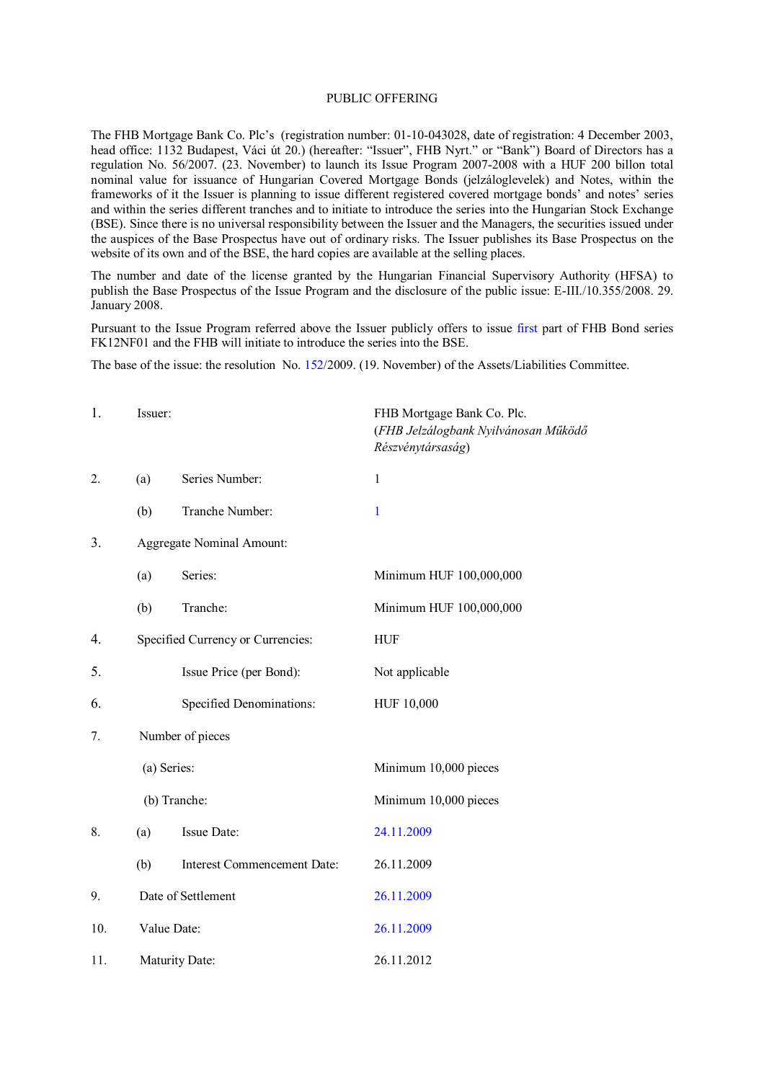## PUBLIC OFFERING

The FHB Mortgage Bank Co. Plc's (registration number: 01-10-043028, date of registration: 4 December 2003, head office: 1132 Budapest, Váci út 20.) (hereafter: "Issuer", FHB Nyrt." or "Bank") Board of Directors has a regulation No. 56/2007. (23. November) to launch its Issue Program 2007-2008 with a HUF 200 billon total nominal value for issuance of Hungarian Covered Mortgage Bonds (jelzáloglevelek) and Notes, within the frameworks of it the Issuer is planning to issue different registered covered mortgage bonds' and notes' series and within the series different tranches and to initiate to introduce the series into the Hungarian Stock Exchange (BSE). Since there is no universal responsibility between the Issuer and the Managers, the securities issued under the auspices of the Base Prospectus have out of ordinary risks. The Issuer publishes its Base Prospectus on the website of its own and of the BSE, the hard copies are available at the selling places.

The number and date of the license granted by the Hungarian Financial Supervisory Authority (HFSA) to publish the Base Prospectus of the Issue Program and the disclosure of the public issue: E-III./10.355/2008. 29. January 2008.

Pursuant to the Issue Program referred above the Issuer publicly offers to issue first part of FHB Bond series FK12NF01 and the FHB will initiate to introduce the series into the BSE.

The base of the issue: the resolution No. 152/2009. (19. November) of the Assets/Liabilities Committee.

| 1.  | Issuer:     |                                   | FHB Mortgage Bank Co. Plc.<br>(FHB Jelzálogbank Nyilvánosan Működő<br>Részvénytársaság) |
|-----|-------------|-----------------------------------|-----------------------------------------------------------------------------------------|
| 2.  | (a)         | Series Number:                    | $\mathbf{1}$                                                                            |
|     | (b)         | Tranche Number:                   | 1                                                                                       |
| 3.  |             | Aggregate Nominal Amount:         |                                                                                         |
|     | (a)         | Series:                           | Minimum HUF 100,000,000                                                                 |
|     | (b)         | Tranche:                          | Minimum HUF 100,000,000                                                                 |
| 4.  |             | Specified Currency or Currencies: | <b>HUF</b>                                                                              |
| 5.  |             | Issue Price (per Bond):           | Not applicable                                                                          |
| 6.  |             | Specified Denominations:          | HUF 10,000                                                                              |
| 7.  |             | Number of pieces                  |                                                                                         |
|     | (a) Series: |                                   | Minimum 10,000 pieces                                                                   |
|     |             | (b) Tranche:                      | Minimum 10,000 pieces                                                                   |
| 8.  | (a)         | Issue Date:                       | 24.11.2009                                                                              |
|     | (b)         | Interest Commencement Date:       | 26.11.2009                                                                              |
| 9.  |             | Date of Settlement                | 26.11.2009                                                                              |
| 10. |             | Value Date:                       | 26.11.2009                                                                              |
| 11. |             | Maturity Date:                    | 26.11.2012                                                                              |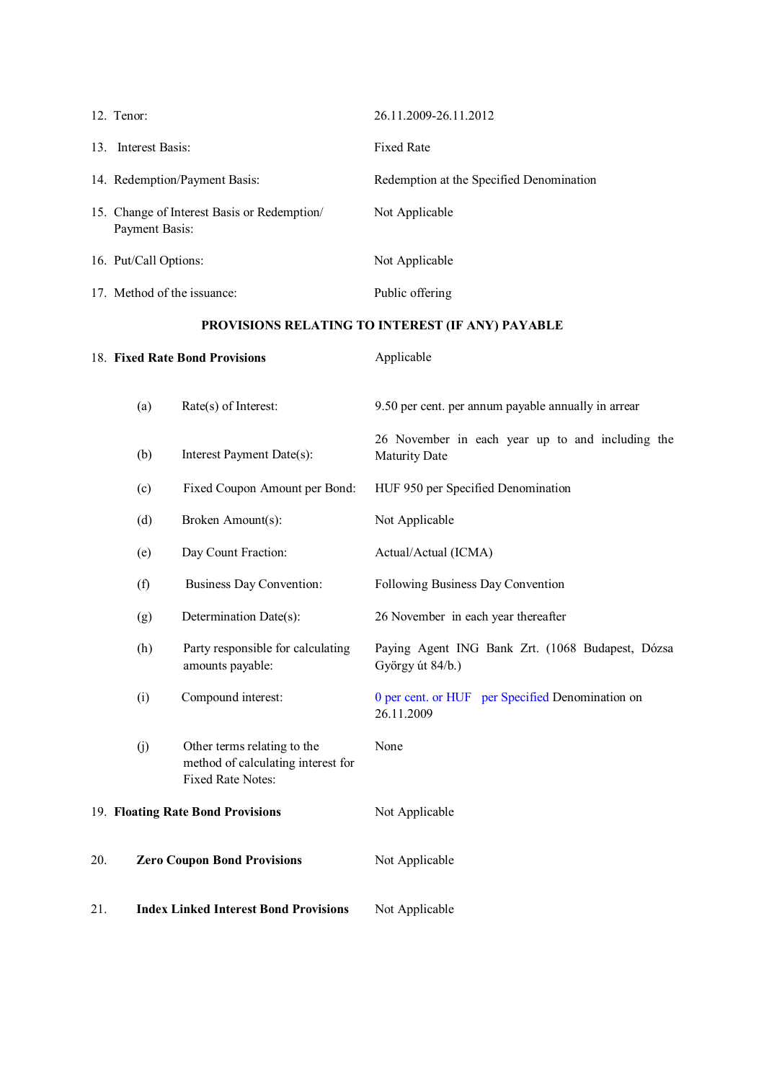|                                                  | 12. Tenor:                        |                                                                                        | 26.11.2009-26.11.2012                                                    |
|--------------------------------------------------|-----------------------------------|----------------------------------------------------------------------------------------|--------------------------------------------------------------------------|
|                                                  | 13. Interest Basis:               |                                                                                        | <b>Fixed Rate</b>                                                        |
|                                                  |                                   | 14. Redemption/Payment Basis:                                                          | Redemption at the Specified Denomination                                 |
|                                                  | Payment Basis:                    | 15. Change of Interest Basis or Redemption/                                            | Not Applicable                                                           |
|                                                  | 16. Put/Call Options:             |                                                                                        | Not Applicable                                                           |
|                                                  |                                   | 17. Method of the issuance:                                                            | Public offering                                                          |
| PROVISIONS RELATING TO INTEREST (IF ANY) PAYABLE |                                   |                                                                                        |                                                                          |
|                                                  | 18. Fixed Rate Bond Provisions    |                                                                                        | Applicable                                                               |
|                                                  | (a)                               | Rate(s) of Interest:                                                                   | 9.50 per cent. per annum payable annually in arrear                      |
|                                                  | (b)                               | Interest Payment Date(s):                                                              | 26 November in each year up to and including the<br><b>Maturity Date</b> |
|                                                  | (c)                               | Fixed Coupon Amount per Bond:                                                          | HUF 950 per Specified Denomination                                       |
|                                                  | (d)                               | Broken Amount(s):                                                                      | Not Applicable                                                           |
|                                                  | (e)                               | Day Count Fraction:                                                                    | Actual/Actual (ICMA)                                                     |
|                                                  | (f)                               | <b>Business Day Convention:</b>                                                        | Following Business Day Convention                                        |
|                                                  | (g)                               | Determination Date(s):                                                                 | 26 November in each year thereafter                                      |
|                                                  | (h)                               | Party responsible for calculating<br>amounts payable:                                  | Paying Agent ING Bank Zrt. (1068 Budapest, Dózsa<br>György út 84/b.)     |
|                                                  | (i)                               | Compound interest:                                                                     | 0 per cent. or HUF per Specified Denomination on<br>26.11.2009           |
|                                                  | (j)                               | Other terms relating to the<br>method of calculating interest for<br>Fixed Rate Notes: | None                                                                     |
|                                                  | 19. Floating Rate Bond Provisions |                                                                                        | Not Applicable                                                           |
| 20.                                              |                                   | <b>Zero Coupon Bond Provisions</b>                                                     | Not Applicable                                                           |
| 21.                                              |                                   | <b>Index Linked Interest Bond Provisions</b>                                           | Not Applicable                                                           |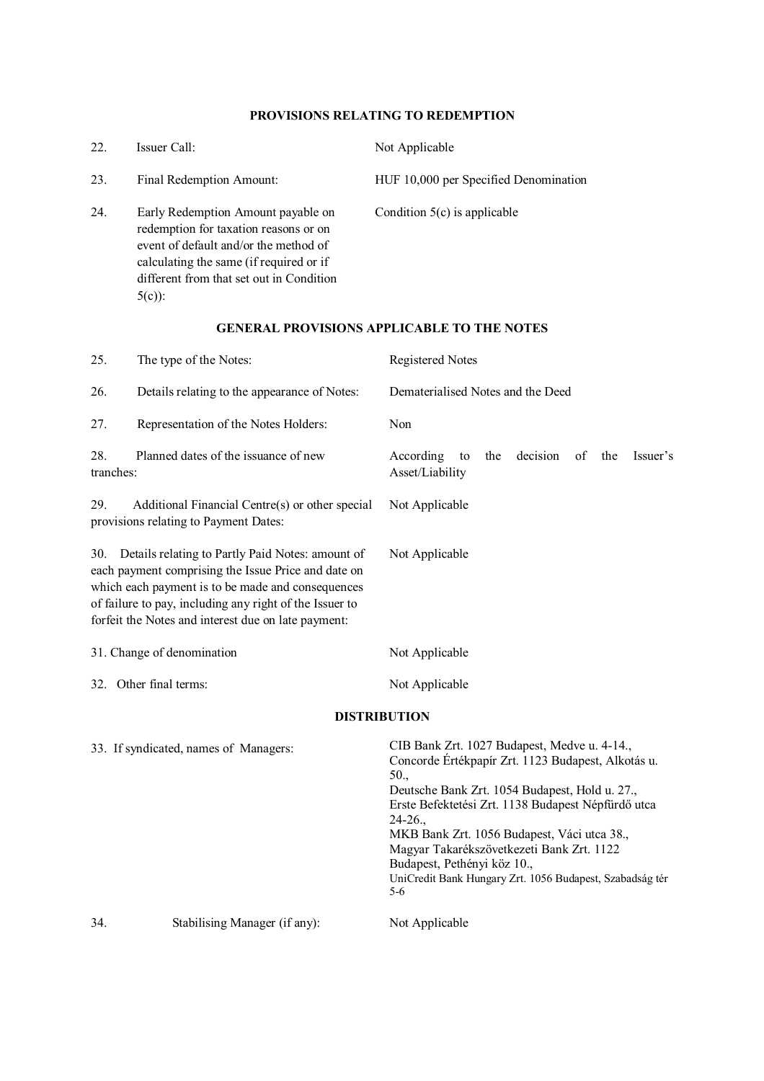## **PROVISIONS RELATING TO REDEMPTION**

| 22. | Issuer Call:                                                                                                                                                                                                            | Not Applicable                        |
|-----|-------------------------------------------------------------------------------------------------------------------------------------------------------------------------------------------------------------------------|---------------------------------------|
| 23. | Final Redemption Amount:                                                                                                                                                                                                | HUF 10,000 per Specified Denomination |
| 24. | Early Redemption Amount payable on<br>redemption for taxation reasons or on<br>event of default and/or the method of<br>calculating the same (if required or if<br>different from that set out in Condition<br>$5(c)$ : | Condition $5(c)$ is applicable        |

## **GENERAL PROVISIONS APPLICABLE TO THE NOTES**

| 25.                                                                                                                                                                                                                                                                                   | The type of the Notes:                                                                   | Registered Notes                                                                                                                                                                                                                                                                                                                                                                                                              |
|---------------------------------------------------------------------------------------------------------------------------------------------------------------------------------------------------------------------------------------------------------------------------------------|------------------------------------------------------------------------------------------|-------------------------------------------------------------------------------------------------------------------------------------------------------------------------------------------------------------------------------------------------------------------------------------------------------------------------------------------------------------------------------------------------------------------------------|
| 26.                                                                                                                                                                                                                                                                                   | Details relating to the appearance of Notes:                                             | Dematerialised Notes and the Deed                                                                                                                                                                                                                                                                                                                                                                                             |
| 27.                                                                                                                                                                                                                                                                                   | Representation of the Notes Holders:                                                     | Non                                                                                                                                                                                                                                                                                                                                                                                                                           |
| 28.<br>tranches:                                                                                                                                                                                                                                                                      | Planned dates of the issuance of new                                                     | decision<br>According<br>of<br>Issuer's<br>the<br>the<br>to<br>Asset/Liability                                                                                                                                                                                                                                                                                                                                                |
| 29.                                                                                                                                                                                                                                                                                   | Additional Financial Centre(s) or other special<br>provisions relating to Payment Dates: | Not Applicable                                                                                                                                                                                                                                                                                                                                                                                                                |
| Details relating to Partly Paid Notes: amount of<br>30.<br>each payment comprising the Issue Price and date on<br>which each payment is to be made and consequences<br>of failure to pay, including any right of the Issuer to<br>forfeit the Notes and interest due on late payment: |                                                                                          | Not Applicable                                                                                                                                                                                                                                                                                                                                                                                                                |
|                                                                                                                                                                                                                                                                                       | 31. Change of denomination                                                               | Not Applicable                                                                                                                                                                                                                                                                                                                                                                                                                |
|                                                                                                                                                                                                                                                                                       | 32. Other final terms:                                                                   | Not Applicable                                                                                                                                                                                                                                                                                                                                                                                                                |
|                                                                                                                                                                                                                                                                                       |                                                                                          | <b>DISTRIBUTION</b>                                                                                                                                                                                                                                                                                                                                                                                                           |
|                                                                                                                                                                                                                                                                                       | 33. If syndicated, names of Managers:                                                    | CIB Bank Zrt. 1027 Budapest, Medve u. 4-14.,<br>Concorde Értékpapír Zrt. 1123 Budapest, Alkotás u.<br>50.<br>Deutsche Bank Zrt. 1054 Budapest, Hold u. 27.,<br>Erste Befektetési Zrt. 1138 Budapest Népfürdő utca<br>$24-26.$<br>MKB Bank Zrt. 1056 Budapest, Váci utca 38.,<br>Magyar Takarékszövetkezeti Bank Zrt. 1122<br>Budapest, Pethényi köz 10.,<br>UniCredit Bank Hungary Zrt. 1056 Budapest, Szabadság tér<br>$5-6$ |
| 34.                                                                                                                                                                                                                                                                                   | Stabilising Manager (if any):                                                            | Not Applicable                                                                                                                                                                                                                                                                                                                                                                                                                |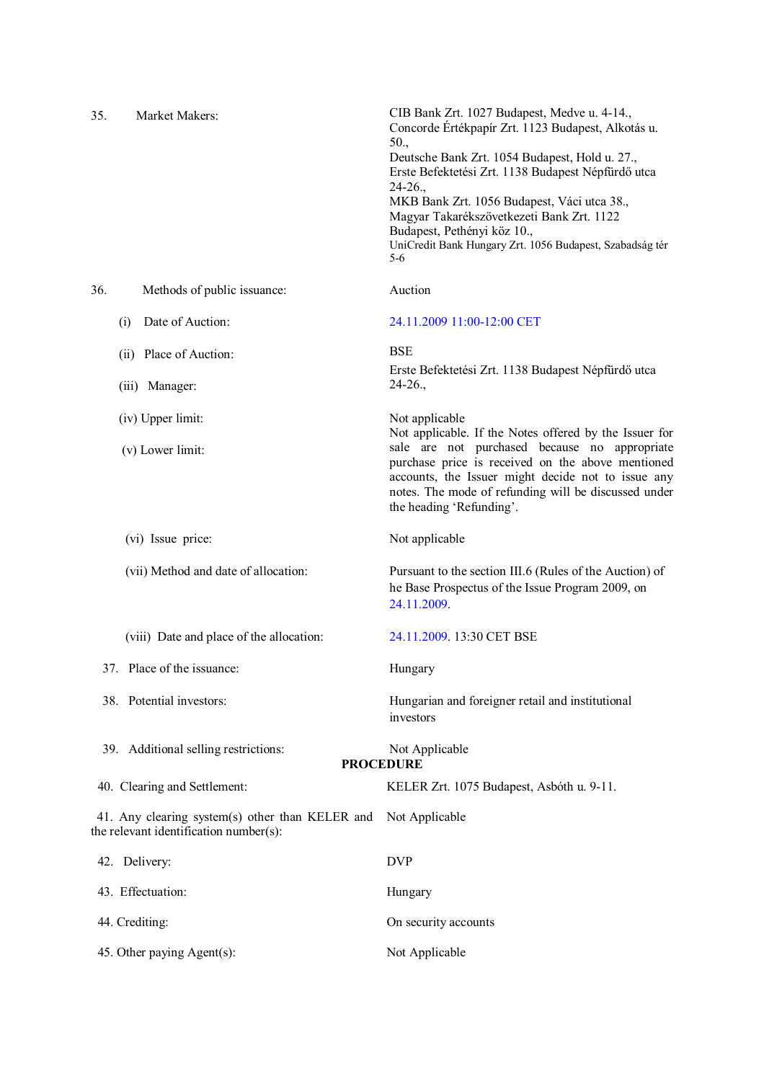| 35. | Market Makers:                                                                            | CIB Bank Zrt. 1027 Budapest, Medve u. 4-14.,<br>Concorde Értékpapír Zrt. 1123 Budapest, Alkotás u.<br>50.,<br>Deutsche Bank Zrt. 1054 Budapest, Hold u. 27.,<br>Erste Befektetési Zrt. 1138 Budapest Népfürdő utca<br>$24-26.$<br>MKB Bank Zrt. 1056 Budapest, Váci utca 38.,<br>Magyar Takarékszövetkezeti Bank Zrt. 1122<br>Budapest, Pethényi köz 10.,<br>UniCredit Bank Hungary Zrt. 1056 Budapest, Szabadság tér<br>$5-6$ |
|-----|-------------------------------------------------------------------------------------------|--------------------------------------------------------------------------------------------------------------------------------------------------------------------------------------------------------------------------------------------------------------------------------------------------------------------------------------------------------------------------------------------------------------------------------|
| 36. | Methods of public issuance:                                                               | Auction                                                                                                                                                                                                                                                                                                                                                                                                                        |
|     | Date of Auction:<br>(i)                                                                   | 24.11.2009 11:00-12:00 CET                                                                                                                                                                                                                                                                                                                                                                                                     |
|     | (ii) Place of Auction:                                                                    | <b>BSE</b>                                                                                                                                                                                                                                                                                                                                                                                                                     |
|     | (iii) Manager:                                                                            | Erste Befektetési Zrt. 1138 Budapest Népfürdő utca<br>$24-26.$                                                                                                                                                                                                                                                                                                                                                                 |
|     | (iv) Upper limit:                                                                         | Not applicable<br>Not applicable. If the Notes offered by the Issuer for                                                                                                                                                                                                                                                                                                                                                       |
|     | (v) Lower limit:                                                                          | sale are not purchased because no appropriate<br>purchase price is received on the above mentioned<br>accounts, the Issuer might decide not to issue any<br>notes. The mode of refunding will be discussed under<br>the heading 'Refunding'.                                                                                                                                                                                   |
|     | (vi) Issue price:                                                                         | Not applicable                                                                                                                                                                                                                                                                                                                                                                                                                 |
|     | (vii) Method and date of allocation:                                                      | Pursuant to the section III.6 (Rules of the Auction) of<br>he Base Prospectus of the Issue Program 2009, on<br>24.11.2009.                                                                                                                                                                                                                                                                                                     |
|     | (viii) Date and place of the allocation:                                                  | 24.11.2009. 13:30 CET BSE                                                                                                                                                                                                                                                                                                                                                                                                      |
|     | 37. Place of the issuance:                                                                | Hungary                                                                                                                                                                                                                                                                                                                                                                                                                        |
|     | 38. Potential investors:                                                                  | Hungarian and foreigner retail and institutional<br>investors                                                                                                                                                                                                                                                                                                                                                                  |
|     | 39. Additional selling restrictions:                                                      | Not Applicable<br><b>PROCEDURE</b>                                                                                                                                                                                                                                                                                                                                                                                             |
|     | 40. Clearing and Settlement:                                                              | KELER Zrt. 1075 Budapest, Asbóth u. 9-11.                                                                                                                                                                                                                                                                                                                                                                                      |
|     | 41. Any clearing system(s) other than KELER and<br>the relevant identification number(s): | Not Applicable                                                                                                                                                                                                                                                                                                                                                                                                                 |
|     | 42. Delivery:                                                                             | <b>DVP</b>                                                                                                                                                                                                                                                                                                                                                                                                                     |
|     | 43. Effectuation:                                                                         | Hungary                                                                                                                                                                                                                                                                                                                                                                                                                        |
|     | 44. Crediting:                                                                            | On security accounts                                                                                                                                                                                                                                                                                                                                                                                                           |
|     | 45. Other paying Agent(s):                                                                | Not Applicable                                                                                                                                                                                                                                                                                                                                                                                                                 |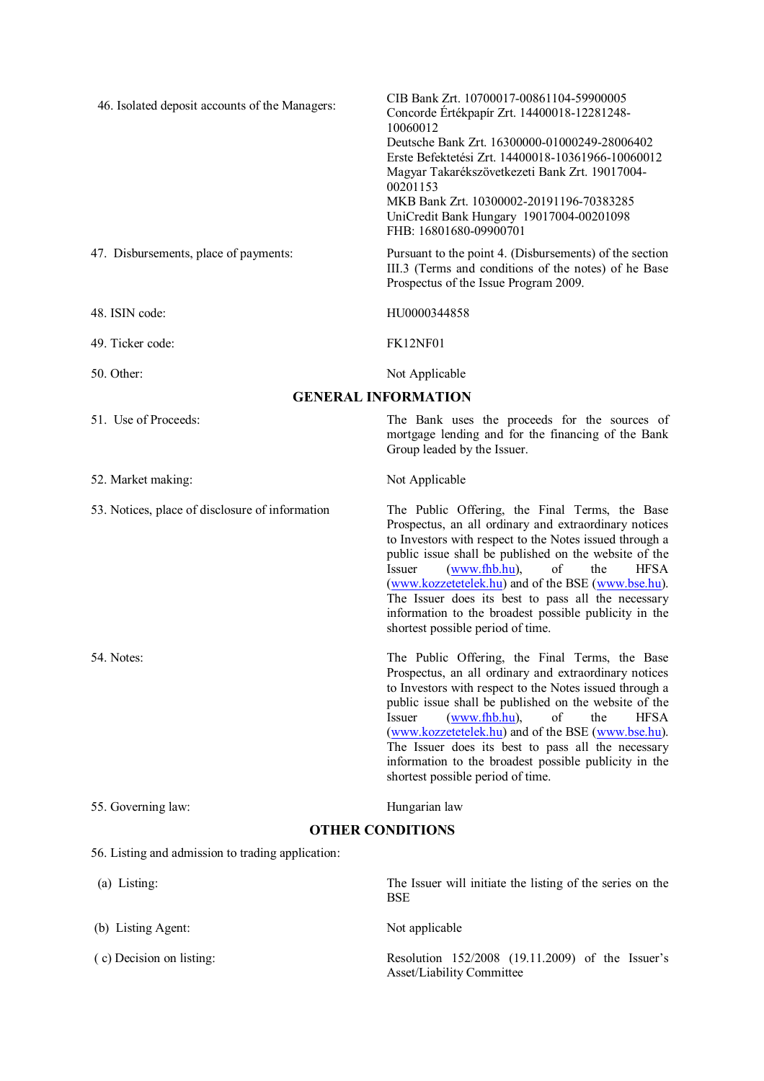| 46. Isolated deposit accounts of the Managers:    | CIB Bank Zrt. 10700017-00861104-59900005<br>Concorde Értékpapír Zrt. 14400018-12281248-<br>10060012<br>Deutsche Bank Zrt. 16300000-01000249-28006402<br>Erste Befektetési Zrt. 14400018-10361966-10060012<br>Magyar Takarékszövetkezeti Bank Zrt. 19017004-<br>00201153<br>MKB Bank Zrt. 10300002-20191196-70383285<br>UniCredit Bank Hungary 19017004-00201098<br>FHB: 16801680-09900701                                                                                                                   |  |
|---------------------------------------------------|-------------------------------------------------------------------------------------------------------------------------------------------------------------------------------------------------------------------------------------------------------------------------------------------------------------------------------------------------------------------------------------------------------------------------------------------------------------------------------------------------------------|--|
| 47. Disbursements, place of payments:             | Pursuant to the point 4. (Disbursements) of the section<br>III.3 (Terms and conditions of the notes) of he Base<br>Prospectus of the Issue Program 2009.                                                                                                                                                                                                                                                                                                                                                    |  |
| 48. ISIN code:                                    | HU0000344858                                                                                                                                                                                                                                                                                                                                                                                                                                                                                                |  |
| 49. Ticker code:                                  | <b>FK12NF01</b>                                                                                                                                                                                                                                                                                                                                                                                                                                                                                             |  |
| 50. Other:                                        | Not Applicable                                                                                                                                                                                                                                                                                                                                                                                                                                                                                              |  |
|                                                   | <b>GENERAL INFORMATION</b>                                                                                                                                                                                                                                                                                                                                                                                                                                                                                  |  |
| 51. Use of Proceeds:                              | The Bank uses the proceeds for the sources of<br>mortgage lending and for the financing of the Bank<br>Group leaded by the Issuer.                                                                                                                                                                                                                                                                                                                                                                          |  |
| 52. Market making:                                | Not Applicable                                                                                                                                                                                                                                                                                                                                                                                                                                                                                              |  |
| 53. Notices, place of disclosure of information   | The Public Offering, the Final Terms, the Base<br>Prospectus, an all ordinary and extraordinary notices<br>to Investors with respect to the Notes issued through a<br>public issue shall be published on the website of the<br><b>Issuer</b><br>(www.fhb.hu),<br>of<br>the<br><b>HFSA</b><br>(www.kozzetetelek.hu) and of the BSE (www.bse.hu).<br>The Issuer does its best to pass all the necessary<br>information to the broadest possible publicity in the<br>shortest possible period of time.         |  |
| 54. Notes:                                        | The Public Offering, the Final Terms, the Base<br>Prospectus, an all ordinary and extraordinary notices<br>to Investors with respect to the Notes issued through a<br>public issue shall be published on the website of the<br>$\sigma f$<br><b>HFSA</b><br><b>Issuer</b><br>(www.fhb.hu),<br>the<br>(www.kozzetetelek.hu) and of the BSE (www.bse.hu).<br>The Issuer does its best to pass all the necessary<br>information to the broadest possible publicity in the<br>shortest possible period of time. |  |
| 55. Governing law:                                | Hungarian law                                                                                                                                                                                                                                                                                                                                                                                                                                                                                               |  |
| <b>OTHER CONDITIONS</b>                           |                                                                                                                                                                                                                                                                                                                                                                                                                                                                                                             |  |
| 56. Listing and admission to trading application: |                                                                                                                                                                                                                                                                                                                                                                                                                                                                                                             |  |
| (a) Listing:                                      | The Issuer will initiate the listing of the series on the<br><b>BSE</b>                                                                                                                                                                                                                                                                                                                                                                                                                                     |  |
| (b) Listing Agent:                                | Not applicable                                                                                                                                                                                                                                                                                                                                                                                                                                                                                              |  |
| (c) Decision on listing:                          | Resolution 152/2008 (19.11.2009) of the Issuer's<br>Asset/Liability Committee                                                                                                                                                                                                                                                                                                                                                                                                                               |  |